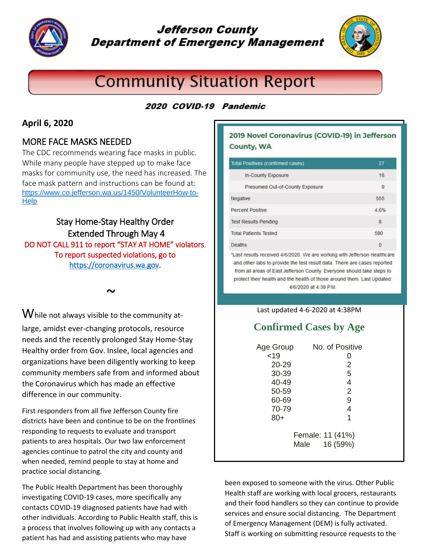

# **Jefferson County Department of Emergency Management**



# **Community Situation Report**

## 2020 COVID-19 Pandemic

### **April 6, 2020**

### MORE FACE MASKS NEEDED

The CDC recommends wearing face masks in public. While many people have stepped up to make face masks for community use, the need has increased. The face mask pattern and instructions can be found at: [https://www.co.jefferson.wa.us/1450/VolunteerHow-to-](https://www.co.jefferson.wa.us/1450/VolunteerHow-to-Help)[Help](https://www.co.jefferson.wa.us/1450/VolunteerHow-to-Help)

Stay Home-Stay Healthy Order Extended Through May 4 DO NOT CALL 911 to report "STAY AT HOME" violators. To report suspected violations, go to [https://coronavirus.wa.gov.](https://coronavirus.wa.gov/)

 $\sim$ 

While not always visible to the community atlarge, amidst ever-changing protocols, resource needs and the recently prolonged Stay Home-Stay Healthy order from Gov. Inslee, local agencies and organizations have been diligently working to keep community members safe from and informed about the Coronavirus which has made an effective difference in our community.

First responders from all five Jefferson County fire districts have been and continue to be on the frontlines responding to requests to evaluate and transport patients to area hospitals. Our two law enforcement agencies continue to patrol the city and county and when needed, remind people to stay at home and practice social distancing.

The Public Health Department has been thoroughly investigating COVID-19 cases, more specifically any contacts COVID-19 diagnosed patients have had with other individuals. According to Public Health staff, this is a process that involves following up with any contacts a patient has had and assisting patients who may have

### 2019 Novel Coronavirus (COVID-19) in Jefferson County, WA

| Total Positives (confirmed cases)                                         | 27       |
|---------------------------------------------------------------------------|----------|
| In-County Exposure                                                        | 18       |
| Presumed Out-of-County Exposure                                           | 9        |
| Negative                                                                  | 555      |
| Percent Positive                                                          | 4.6%     |
| <b>Test Results Pending</b>                                               | 8        |
| <b>Total Patients Tested</b>                                              | 590      |
| <b>Deaths</b>                                                             | $\Omega$ |
| "Last results received 4/6/2020. We are working with Jefferson Healthcare |          |

and other labs to provide the test result data. There are cases reported from all areas of East Jefferson County. Everyone should take steps to protect their health and the health of those around them. Last Updated: 4/6/2020 at 4:38 P.M.

#### Last updated 4-6-2020 at 4:38PM

# **Confirmed Cases by Age**

| Age Group | No. of Positive  |
|-----------|------------------|
| < 19      | O                |
| $20 - 29$ | 2                |
| 30-39     | 5                |
| $40 - 49$ | 4                |
| 50-59     | 2                |
| 60-69     | 9                |
| 70-79     | 4                |
| 80+       | 1                |
|           |                  |
|           | Female: 11 (41%) |
|           | 16 (59%)<br>Male |

been exposed to someone with the virus. Other Public Health staff are working with local grocers, restaurants and their food handlers so they can continue to provide services and ensure social distancing. The Department of Emergency Management (DEM) is fully activated. Staff is working on submitting resource requests to the